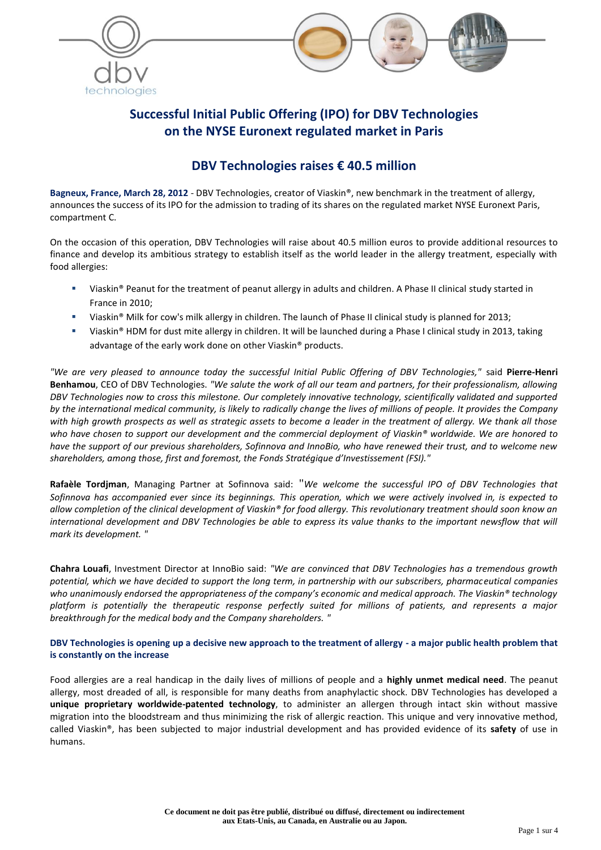

# **Successful Initial Public Offering (IPO) for DBV Technologies on the NYSE Euronext regulated market in Paris**

## **DBV Technologies raises € 40.5 million**

**Bagneux, France, March 28, 2012** - DBV Technologies, creator of Viaskin®, new benchmark in the treatment of allergy, announces the success of its IPO for the admission to trading of its shares on the regulated market NYSE Euronext Paris, compartment C.

On the occasion of this operation, DBV Technologies will raise about 40.5 million euros to provide additional resources to finance and develop its ambitious strategy to establish itself as the world leader in the allergy treatment, especially with food allergies:

- Viaskin® Peanut for the treatment of peanut allergy in adults and children. A Phase II clinical study started in France in 2010;
- Viaskin® Milk for cow's milk allergy in children. The launch of Phase II clinical study is planned for 2013;
- Viaskin® HDM for dust mite allergy in children. It will be launched during a Phase I clinical study in 2013, taking advantage of the early work done on other Viaskin® products.

*"We are very pleased to announce today the successful Initial Public Offering of DBV Technologies,"* said **Pierre-Henri Benhamou**, CEO of DBV Technologies. *"We salute the work of all our team and partners, for their professionalism, allowing DBV Technologies now to cross this milestone. Our completely innovative technology, scientifically validated and supported by the international medical community, is likely to radically change the lives of millions of people. It provides the Company with high growth prospects as well as strategic assets to become a leader in the treatment of allergy. We thank all those who have chosen to support our development and the commercial deployment of Viaskin® worldwide. We are honored to have the support of our previous shareholders, Sofinnova and InnoBio, who have renewed their trust, and to welcome new shareholders, among those, first and foremost, the Fonds Stratégique d'Investissement (FSI)."*

**Rafaèle Tordjman**, Managing Partner at Sofinnova said: "*We welcome the successful IPO of DBV Technologies that Sofinnova has accompanied ever since its beginnings. This operation, which we were actively involved in, is expected to allow completion of the clinical development of Viaskin® for food allergy. This revolutionary treatment should soon know an international development and DBV Technologies be able to express its value thanks to the important newsflow that will mark its development. "*

**Chahra Louafi**, Investment Director at InnoBio said: *"We are convinced that DBV Technologies has a tremendous growth potential, which we have decided to support the long term, in partnership with our subscribers, pharmaceutical companies who unanimously endorsed the appropriateness of the company's economic and medical approach. The Viaskin® technology platform is potentially the therapeutic response perfectly suited for millions of patients, and represents a major breakthrough for the medical body and the Company shareholders. "*

**DBV Technologies is opening up a decisive new approach to the treatment of allergy - a major public health problem that is constantly on the increase**

Food allergies are a real handicap in the daily lives of millions of people and a **highly unmet medical need**. The peanut allergy, most dreaded of all, is responsible for many deaths from anaphylactic shock. DBV Technologies has developed a **unique proprietary worldwide-patented technology**, to administer an allergen through intact skin without massive migration into the bloodstream and thus minimizing the risk of allergic reaction. This unique and very innovative method, called Viaskin®, has been subjected to major industrial development and has provided evidence of its **safety** of use in humans.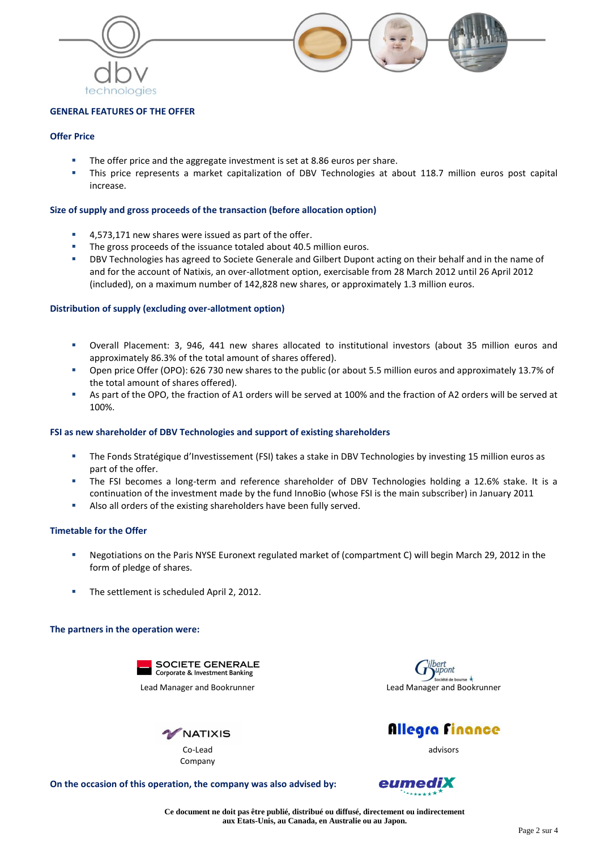

## **GENERAL FEATURES OF THE OFFER**

## **Offer Price**

- The offer price and the aggregate investment is set at 8.86 euros per share.
- This price represents a market capitalization of DBV Technologies at about 118.7 million euros post capital increase.

## **Size of supply and gross proceeds of the transaction (before allocation option)**

- 4,573,171 new shares were issued as part of the offer.
- The gross proceeds of the issuance totaled about 40.5 million euros.
- DBV Technologies has agreed to Societe Generale and Gilbert Dupont acting on their behalf and in the name of and for the account of Natixis, an over-allotment option, exercisable from 28 March 2012 until 26 April 2012 (included), on a maximum number of 142,828 new shares, or approximately 1.3 million euros.

## **Distribution of supply (excluding over-allotment option)**

- Overall Placement: 3, 946, 441 new shares allocated to institutional investors (about 35 million euros and approximately 86.3% of the total amount of shares offered).
- Open price Offer (OPO): 626 730 new shares to the public (or about 5.5 million euros and approximately 13.7% of the total amount of shares offered).
- As part of the OPO, the fraction of A1 orders will be served at 100% and the fraction of A2 orders will be served at 100%.

### **FSI as new shareholder of DBV Technologies and support of existing shareholders**

- The Fonds Stratégique d'Investissement (FSI) takes a stake in DBV Technologies by investing 15 million euros as part of the offer.
- The FSI becomes a long-term and reference shareholder of DBV Technologies holding a 12.6% stake. It is a continuation of the investment made by the fund InnoBio (whose FSI is the main subscriber) in January 2011
- Also all orders of the existing shareholders have been fully served.

### **Timetable for the Offer**

- Negotiations on the Paris NYSE Euronext regulated market of (compartment C) will begin March 29, 2012 in the form of pledge of shares.
- The settlement is scheduled April 2, 2012.

### **The partners in the operation were:**









advisors

**On the occasion of this operation, the company was also advised by:** 

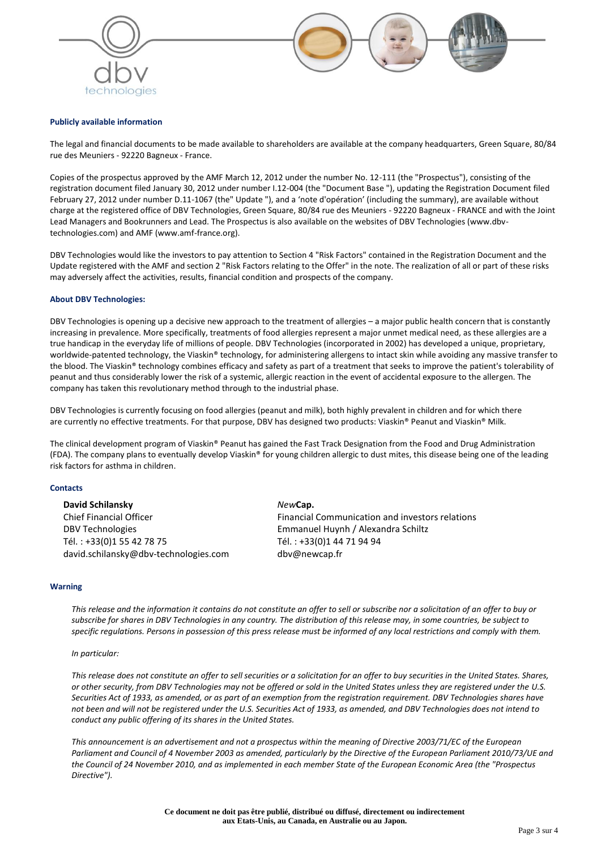



#### **Publicly available information**

The legal and financial documents to be made available to shareholders are available at the company headquarters, Green Square, 80/84 rue des Meuniers - 92220 Bagneux - France.

Copies of the prospectus approved by the AMF March 12, 2012 under the number No. 12-111 (the "Prospectus"), consisting of the registration document filed January 30, 2012 under number I.12-004 (the "Document Base "), updating the Registration Document filed February 27, 2012 under number D.11-1067 (the" Update "), and a 'note d'opération' (including the summary), are available without charge at the registered office of DBV Technologies, Green Square, 80/84 rue des Meuniers - 92220 Bagneux - FRANCE and with the Joint Lead Managers and Bookrunners and Lead. The Prospectus is also available on the websites of DBV Technologies (www.dbvtechnologies.com) and AMF (www.amf-france.org).

DBV Technologies would like the investors to pay attention to Section 4 "Risk Factors" contained in the Registration Document and the Update registered with the AMF and section 2 "Risk Factors relating to the Offer" in the note. The realization of all or part of these risks may adversely affect the activities, results, financial condition and prospects of the company.

#### **About DBV Technologies:**

DBV Technologies is opening up a decisive new approach to the treatment of allergies – a major public health concern that is constantly increasing in prevalence. More specifically, treatments of food allergies represent a major unmet medical need, as these allergies are a true handicap in the everyday life of millions of people. DBV Technologies (incorporated in 2002) has developed a unique, proprietary, worldwide-patented technology, the Viaskin® technology, for administering allergens to intact skin while avoiding any massive transfer to the blood. The Viaskin® technology combines efficacy and safety as part of a treatment that seeks to improve the patient's tolerability of peanut and thus considerably lower the risk of a systemic, allergic reaction in the event of accidental exposure to the allergen. The company has taken this revolutionary method through to the industrial phase.

DBV Technologies is currently focusing on food allergies (peanut and milk), both highly prevalent in children and for which there are currently no effective treatments. For that purpose, DBV has designed two products: Viaskin® Peanut and Viaskin® Milk.

The clinical development program of Viaskin® Peanut has gained the Fast Track Designation from the Food and Drug Administration (FDA). The company plans to eventually develop Viaskin® for young children allergic to dust mites, this disease being one of the leading risk factors for asthma in children.

#### **Contacts**

**David Schilansky** Chief Financial Officer DBV Technologies Tél. : +33(0)1 55 42 78 75 david.schilansky@dbv-technologies.com

#### *New***Cap.**

Financial Communication and investors relations Emmanuel Huynh / Alexandra Schiltz Tél. : +33(0)1 44 71 94 94 dbv@newcap.fr

#### **Warning**

*This release and the information it contains do not constitute an offer to sell or subscribe nor a solicitation of an offer to buy or subscribe for shares in DBV Technologies in any country. The distribution of this release may, in some countries, be subject to specific regulations. Persons in possession of this press release must be informed of any local restrictions and comply with them.*

#### *In particular:*

*This release does not constitute an offer to sell securities or a solicitation for an offer to buy securities in the United States. Shares, or other security, from DBV Technologies may not be offered or sold in the United States unless they are registered under the U.S. Securities Act of 1933, as amended, or as part of an exemption from the registration requirement. DBV Technologies shares have not been and will not be registered under the U.S. Securities Act of 1933, as amended, and DBV Technologies does not intend to conduct any public offering of its shares in the United States.*

*This announcement is an advertisement and not a prospectus within the meaning of Directive 2003/71/EC of the European Parliament and Council of 4 November 2003 as amended, particularly by the Directive of the European Parliament 2010/73/UE and the Council of 24 November 2010, and as implemented in each member State of the European Economic Area (the "Prospectus Directive").*